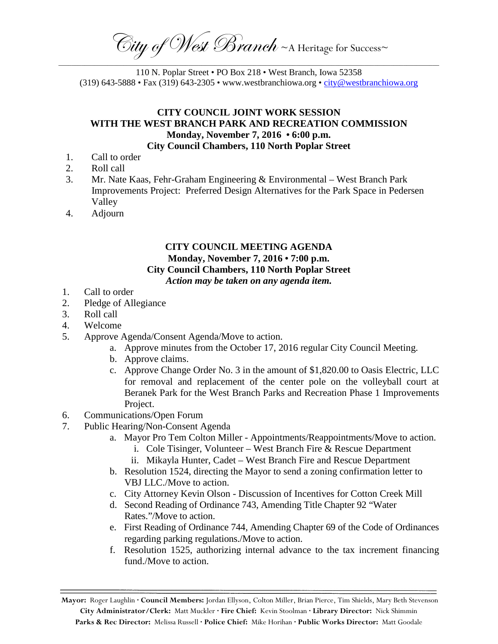$\widehat{\mathbb{C}}$ ity of West Branch ~A Heritage for Success~ \_\_\_\_\_\_\_\_\_\_\_\_\_\_\_\_\_\_\_\_\_\_\_\_\_\_\_\_\_\_\_\_\_\_\_\_\_\_\_\_\_\_\_\_\_\_\_\_\_\_\_\_\_\_\_\_\_\_\_\_\_\_\_\_\_\_\_\_\_\_\_\_\_\_\_\_\_\_\_\_\_\_\_\_\_\_\_\_\_\_\_\_\_\_\_\_\_\_\_\_\_\_\_\_\_\_\_\_\_\_\_\_\_\_\_\_\_

110 N. Poplar Street • PO Box 218 • West Branch, Iowa 52358 (319) 643-5888 • Fax (319) 643-2305 • www.westbranchiowa.org • [city@westbranchiowa.org](mailto:city@westbranchiowa.org)

## **CITY COUNCIL JOINT WORK SESSION WITH THE WEST BRANCH PARK AND RECREATION COMMISSION Monday, November 7, 2016 • 6:00 p.m.**

## **City Council Chambers, 110 North Poplar Street**

- 1. Call to order
- 2. Roll call
- 3. Mr. Nate Kaas, Fehr-Graham Engineering & Environmental West Branch Park Improvements Project: Preferred Design Alternatives for the Park Space in Pedersen Valley
- 4. Adjourn

## **CITY COUNCIL MEETING AGENDA Monday, November 7, 2016 • 7:00 p.m. City Council Chambers, 110 North Poplar Street** *Action may be taken on any agenda item.*

- 1. Call to order
- 2. Pledge of Allegiance
- 3. Roll call
- 4. Welcome
- 5. Approve Agenda/Consent Agenda/Move to action.
	- a. Approve minutes from the October 17, 2016 regular City Council Meeting.
	- b. Approve claims.
	- c. Approve Change Order No. 3 in the amount of \$1,820.00 to Oasis Electric, LLC for removal and replacement of the center pole on the volleyball court at Beranek Park for the West Branch Parks and Recreation Phase 1 Improvements Project.
- 6. Communications/Open Forum
- 7. Public Hearing/Non-Consent Agenda
	- a. Mayor Pro Tem Colton Miller Appointments/Reappointments/Move to action.
		- i. Cole Tisinger, Volunteer West Branch Fire & Rescue Department
		- ii. Mikayla Hunter, Cadet West Branch Fire and Rescue Department
	- b. Resolution 1524, directing the Mayor to send a zoning confirmation letter to VBJ LLC./Move to action.
	- c. City Attorney Kevin Olson Discussion of Incentives for Cotton Creek Mill
	- d. Second Reading of Ordinance 743, Amending Title Chapter 92 "Water Rates."/Move to action.
	- e. First Reading of Ordinance 744, Amending Chapter 69 of the Code of Ordinances regarding parking regulations./Move to action.
	- f. Resolution 1525, authorizing internal advance to the tax increment financing fund./Move to action.

**Mayor:** Roger Laughlin **· Council Members:** Jordan Ellyson, Colton Miller, Brian Pierce, Tim Shields, Mary Beth Stevenson **City Administrator/Clerk:** Matt Muckler **· Fire Chief:** Kevin Stoolman **· Library Director:** Nick Shimmin **Parks & Rec Director:** Melissa Russell **· Police Chief:** Mike Horihan **· Public Works Director:** Matt Goodale